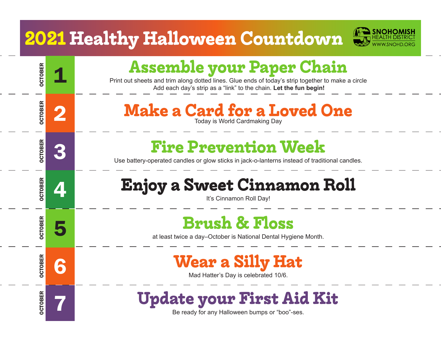### **2021 Healthy Halloween Countdown**

OCTOBER

OCTOBER

OCTOBER

OCTOBER

OCTOBER

OCTOBER

OCTOBER



# **Assemble your Paper Chain**<br>Print out sheets and trim along dotted lines. Glue ends of today's strip together to make a circle

Add each day's strip as a "link" to the chain. **Let the fun begin!**

### **2 Make a Card for a Loved One**

# <sup>3</sup> **Fire Prevention Week** Use battery-operated candles or glow sticks in jack-o-lanterns instead of traditional candles.

# **4 Enjoy a Sweet Cinnamon Roll Enjoy a Sweet Cinnamon Roll**

# **Brush & Floss**<br>at least twice a day–October is National Dental Hygiene Month.

# **6 Wear a Silly Hat**

## <sup>7</sup> **Update your First Aid Kit** Be ready for any Halloween bumps or "boo"-ses.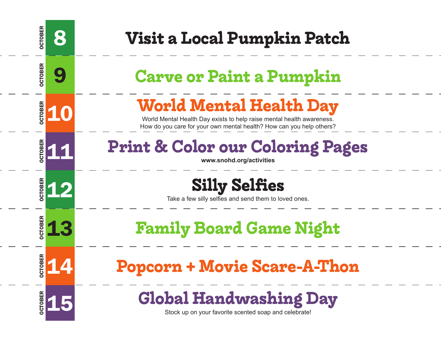| <b>OCTOBER</b><br>8 | Visit a Local Pumpkin Patch                                                                                                                                                     |
|---------------------|---------------------------------------------------------------------------------------------------------------------------------------------------------------------------------|
| <b>OCTOBER</b><br>9 | <b>Carve or Paint a Pumpkin</b>                                                                                                                                                 |
| <b>OCTOBER</b>      | <b>World Mental Health Day</b><br>World Mental Health Day exists to help raise mental health awareness.<br>How do you care for your own mental health? How can you help others? |
| <b>DCTOBER</b>      | <b>Print &amp; Color our Coloring Pages</b><br>www.snohd.org/activities                                                                                                         |
| <b>DCTOBER</b>      | <b>Silly Selfies</b><br>Take a few silly selfies and send them to loved ones.                                                                                                   |
| <b>OCTOBER</b>      | <b>Family Board Game Night</b>                                                                                                                                                  |
| <b>OBER</b><br>5o   | <b>+ Movie Scare-A-T</b><br>opcorn                                                                                                                                              |
| <b>OCTOBER</b>      | <b>Global Handwashing Day</b><br>Stock up on your favorite scented soap and celebrate!                                                                                          |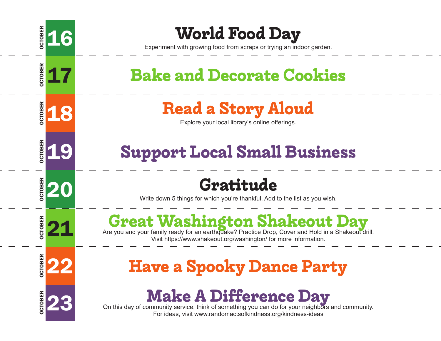

# **EXPERIMENT SEXPERIM SCRIPS 16 <b>World Food Day**<br>Experiment with growing food from scraps or trying an indoor garden.

### **17** Bake and Decorate Cookies

# **PREAD ALCE IS A STOPY ALOUD Explore your local library's online offerings.**

### **<u>E</u>ZER 19 Support Local Small Business</u>**

**EVEL 20 Write down 5 things for which you're thankful. Add to the list as you wish.** 

# **October 21 Are you and your family ready for an earthquake? Practice Drop, Cover and Hold in a Shakeout drill. Visit https://www.shakeout.org/washington/ for more information.**

### **Party Edge & Spooky Dance Party**

**Example 23** On this day of community service, think of something you can do for your neighbors and community.<br>For ideas, visit www.randomactsofkindness.org/kindness-ideas